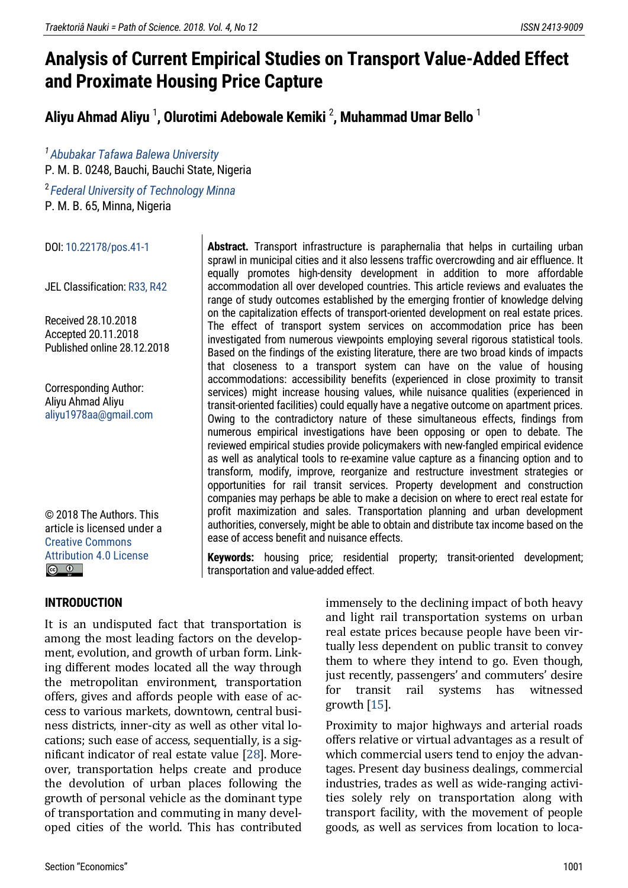# **Analysis of Current Empirical Studies on Transport Value-Added Effect and Proximate Housing Price Capture**

**Aliyu Ahmad Aliyu** <sup>1</sup> **, Olurotimi Adebowale Kemiki** <sup>2</sup> **, Muhammad Umar Bello** <sup>1</sup>

*1 [Abubakar Tafawa Balewa University](https://www.atbu.edu.ng/)* P. M. B. 0248, Bauchi, Bauchi State, Nigeria

<sup>2</sup>*[Federal University of Technology](https://www.futminna.edu.ng/) [Minna](https://www.futminna.edu.ng/)* P. M. B. 65, Minna, Nigeria

DOI[: 10.22178/pos.41-1](http://dx.doi.org/10.22178/pos.41-1)

JEL Classification[: R33, R42](https://www.aeaweb.org/econlit/jelCodes.php?view=jel#R)

Received 28.10.2018 Accepted 20.11.2018 Published online 28.12.2018

Corresponding Author: Aliyu Ahmad Aliyu [aliyu1978aa@gmail.com](mailto:aliyu1978aa@gmail.com)

© 2018 The Authors[. This](https://creativecommons.org/licenses/by/4.0/)  article is [licensed under a](https://creativecommons.org/licenses/by/4.0/)  [Creative Commons](https://creativecommons.org/licenses/by/4.0/)  [Attribution 4.0 License](https://creativecommons.org/licenses/by/4.0/)  $\circledcirc$   $\circledcirc$ 

**Abstract.** Transport infrastructure is paraphernalia that helps in curtailing urban sprawl in municipal cities and it also lessens traffic overcrowding and air effluence. It equally promotes high-density development in addition to more affordable accommodation all over developed countries. This article reviews and evaluates the range of study outcomes established by the emerging frontier of knowledge delving on the capitalization effects of transport-oriented development on real estate prices. The effect of transport system services on accommodation price has been investigated from numerous viewpoints employing several rigorous statistical tools. Based on the findings of the existing literature, there are two broad kinds of impacts that closeness to a transport system can have on the value of housing accommodations: accessibility benefits (experienced in close proximity to transit services) might increase housing values, while nuisance qualities (experienced in transit-oriented facilities) could equally have a negative outcome on apartment prices. Owing to the contradictory nature of these simultaneous effects, findings from numerous empirical investigations have been opposing or open to debate. The reviewed empirical studies provide policymakers with new-fangled empirical evidence as well as analytical tools to re-examine value capture as a financing option and to transform, modify, improve, reorganize and restructure investment strategies or opportunities for rail transit services. Property development and construction companies may perhaps be able to make a decision on where to erect real estate for profit maximization and sales. Transportation planning and urban development authorities, conversely, might be able to obtain and distribute tax income based on the ease of access benefit and nuisance effects.

**Keywords:** housing price; residential property; transit-oriented development; transportation and value-added effect.

#### **INTRODUCTION**

It is an undisputed fact that transportation is among the most leading factors on the development, evolution, and growth of urban form. Linking different modes located all the way through the metropolitan environment, transportation offers, gives and affords people with ease of access to various markets, downtown, central business districts, inner-city as well as other vital locations; such ease of access, sequentially, is a significant indicator of real estate value [\[28\]](#page-16-0). Moreover, transportation helps create and produce the devolution of urban places following the growth of personal vehicle as the dominant type of transportation and commuting in many developed cities of the world. This has contributed

immensely to the declining impact of both heavy and light rail transportation systems on urban real estate prices because people have been virtually less dependent on public transit to convey them to where they intend to go. Even though, just recently, passengers' and commuters' desire for transit rail systems has witnessed growth  $[15]$ .

Proximity to major highways and arterial roads offers relative or virtual advantages as a result of which commercial users tend to enjoy the advantages. Present day business dealings, commercial industries, trades as well as wide-ranging activities solely rely on transportation along with transport facility, with the movement of people goods, as well as services from location to loca-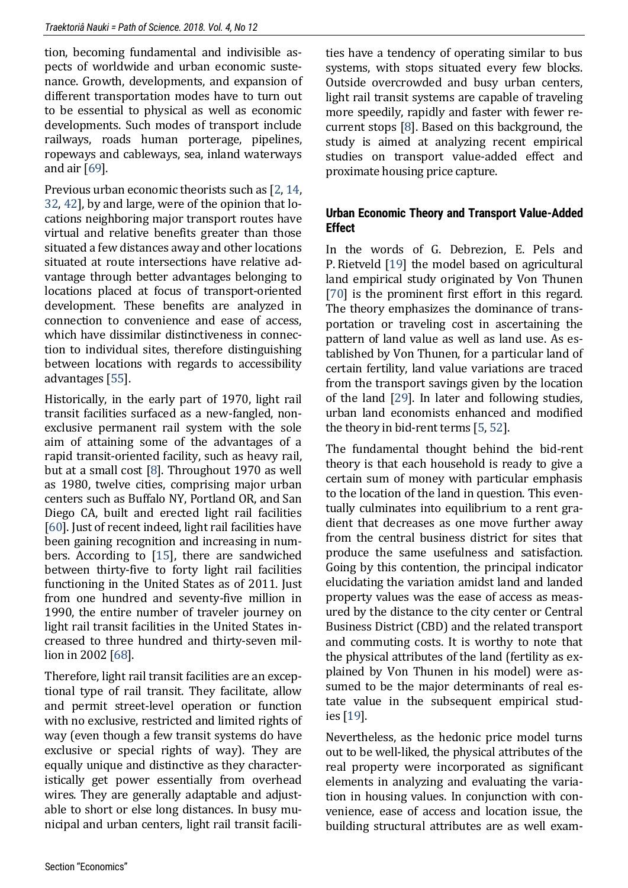tion, becoming fundamental and indivisible aspects of worldwide and urban economic sustenance. Growth, developments, and expansion of different transportation modes have to turn out to be essential to physical as well as economic developments. Such modes of transport include railways, roads human porterage, pipelines, ropeways and cableways, sea, inland waterways and air [\[69\]](#page-19-0).

Previous urban economic theorists such as [\[2,](#page-15-0) [14,](#page-16-2) [32,](#page-17-0) [42\]](#page-17-1), by and large, were of the opinion that locations neighboring major transport routes have virtual and relative benefits greater than those situated a few distances away and other locations situated at route intersections have relative advantage through better advantages belonging to locations placed at focus of transport-oriented development. These benefits are analyzed in connection to convenience and ease of access, which have dissimilar distinctiveness in connection to individual sites, therefore distinguishing between locations with regards to accessibility advantages [\[55\]](#page-18-0).

Historically, in the early part of 1970, light rail transit facilities surfaced as a new-fangled, nonexclusive permanent rail system with the sole aim of attaining some of the advantages of a rapid transit-oriented facility, such as heavy rail, but at a small cost [\[8\]](#page-15-1). Throughout 1970 as well as 1980, twelve cities, comprising major urban centers such as Buffalo NY, Portland OR, and San Diego CA, built and erected light rail facilities [\[60\]](#page-18-1). Just of recent indeed, light rail facilities have been gaining recognition and increasing in numbers. According to [\[15\]](#page-16-1), there are sandwiched between thirty-five to forty light rail facilities functioning in the United States as of 2011. Just from one hundred and seventy-five million in 1990, the entire number of traveler journey on light rail transit facilities in the United States increased to three hundred and thirty-seven million in 2002 [\[68\]](#page-19-1).

Therefore, light rail transit facilities are an exceptional type of rail transit. They facilitate, allow and permit street-level operation or function with no exclusive, restricted and limited rights of way (even though a few transit systems do have exclusive or special rights of way). They are equally unique and distinctive as they characteristically get power essentially from overhead wires. They are generally adaptable and adjustable to short or else long distances. In busy municipal and urban centers, light rail transit facilities have a tendency of operating similar to bus systems, with stops situated every few blocks. Outside overcrowded and busy urban centers, light rail transit systems are capable of traveling more speedily, rapidly and faster with fewer recurrent stops [\[8\]](#page-15-1). Based on this background, the study is aimed at analyzing recent empirical studies on transport value-added effect and proximate housing price capture.

## **Urban Economic Theory and Transport Value-Added Effect**

In the words of G. Debrezion, E. Pels and P. Rietveld [\[19\]](#page-16-3) the model based on agricultural land empirical study originated by Von Thunen [\[70\]](#page-19-2) is the prominent first effort in this regard. The theory emphasizes the dominance of transportation or traveling cost in ascertaining the pattern of land value as well as land use. As established by Von Thunen, for a particular land of certain fertility, land value variations are traced from the transport savings given by the location of the land [\[29\]](#page-17-2). In later and following studies, urban land economists enhanced and modified the theory in bid-rent terms [\[5,](#page-15-2) [52\]](#page-18-2).

The fundamental thought behind the bid-rent theory is that each household is ready to give a certain sum of money with particular emphasis to the location of the land in question. This eventually culminates into equilibrium to a rent gradient that decreases as one move further away from the central business district for sites that produce the same usefulness and satisfaction. Going by this contention, the principal indicator elucidating the variation amidst land and landed property values was the ease of access as measured by the distance to the city center or Central Business District (CBD) and the related transport and commuting costs. It is worthy to note that the physical attributes of the land (fertility as explained by Von Thunen in his model) were assumed to be the major determinants of real estate value in the subsequent empirical studies [\[19\]](#page-16-3).

Nevertheless, as the hedonic price model turns out to be well-liked, the physical attributes of the real property were incorporated as significant elements in analyzing and evaluating the variation in housing values. In conjunction with convenience, ease of access and location issue, the building structural attributes are as well exam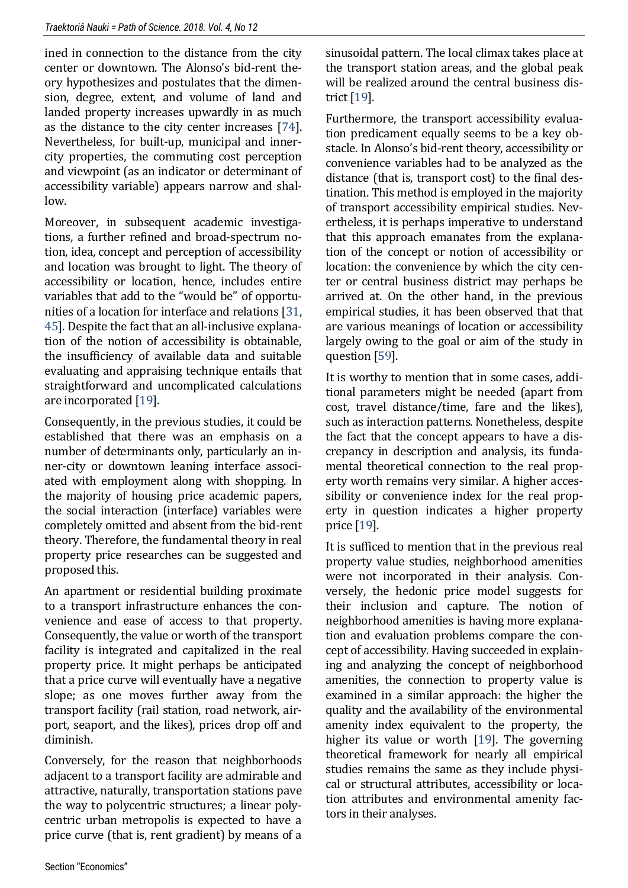ined in connection to the distance from the city center or downtown. The Alonso's bid-rent theory hypothesizes and postulates that the dimension, degree, extent, and volume of land and landed property increases upwardly in as much as the distance to the city center increases [\[74\]](#page-19-3). Nevertheless, for built-up, municipal and innercity properties, the commuting cost perception and viewpoint (as an indicator or determinant of accessibility variable) appears narrow and shallow.

Moreover, in subsequent academic investigations, a further refined and broad-spectrum notion, idea, concept and perception of accessibility and location was brought to light. The theory of accessibility or location, hence, includes entire variables that add to the "would be" of opportunities of a location for interface and relations [\[31,](#page-17-3) [45\]](#page-17-4). Despite the fact that an all-inclusive explanation of the notion of accessibility is obtainable, the insufficiency of available data and suitable evaluating and appraising technique entails that straightforward and uncomplicated calculations are incorporated [\[19\]](#page-16-3).

Consequently, in the previous studies, it could be established that there was an emphasis on a number of determinants only, particularly an inner-city or downtown leaning interface associated with employment along with shopping. In the majority of housing price academic papers, the social interaction (interface) variables were completely omitted and absent from the bid-rent theory. Therefore, the fundamental theory in real property price researches can be suggested and proposed this.

An apartment or residential building proximate to a transport infrastructure enhances the convenience and ease of access to that property. Consequently, the value or worth of the transport facility is integrated and capitalized in the real property price. It might perhaps be anticipated that a price curve will eventually have a negative slope; as one moves further away from the transport facility (rail station, road network, airport, seaport, and the likes), prices drop off and diminish.

Conversely, for the reason that neighborhoods adjacent to a transport facility are admirable and attractive, naturally, transportation stations pave the way to polycentric structures; a linear polycentric urban metropolis is expected to have a price curve (that is, rent gradient) by means of a

sinusoidal pattern. The local climax takes place at the transport station areas, and the global peak will be realized around the central business district [\[19\]](#page-16-3).

Furthermore, the transport accessibility evaluation predicament equally seems to be a key obstacle. In Alonso's bid-rent theory, accessibility or convenience variables had to be analyzed as the distance (that is, transport cost) to the final destination. This method is employed in the majority of transport accessibility empirical studies. Nevertheless, it is perhaps imperative to understand that this approach emanates from the explanation of the concept or notion of accessibility or location: the convenience by which the city center or central business district may perhaps be arrived at. On the other hand, in the previous empirical studies, it has been observed that that are various meanings of location or accessibility largely owing to the goal or aim of the study in question [\[59\]](#page-18-3).

It is worthy to mention that in some cases, additional parameters might be needed (apart from cost, travel distance/time, fare and the likes), such as interaction patterns. Nonetheless, despite the fact that the concept appears to have a discrepancy in description and analysis, its fundamental theoretical connection to the real property worth remains very similar. A higher accessibility or convenience index for the real property in question indicates a higher property price [\[19\]](#page-16-3).

It is sufficed to mention that in the previous real property value studies, neighborhood amenities were not incorporated in their analysis. Conversely, the hedonic price model suggests for their inclusion and capture. The notion of neighborhood amenities is having more explanation and evaluation problems compare the concept of accessibility. Having succeeded in explaining and analyzing the concept of neighborhood amenities, the connection to property value is examined in a similar approach: the higher the quality and the availability of the environmental amenity index equivalent to the property, the higher its value or worth [\[19\]](#page-16-3). The governing theoretical framework for nearly all empirical studies remains the same as they include physical or structural attributes, accessibility or location attributes and environmental amenity factors in their analyses.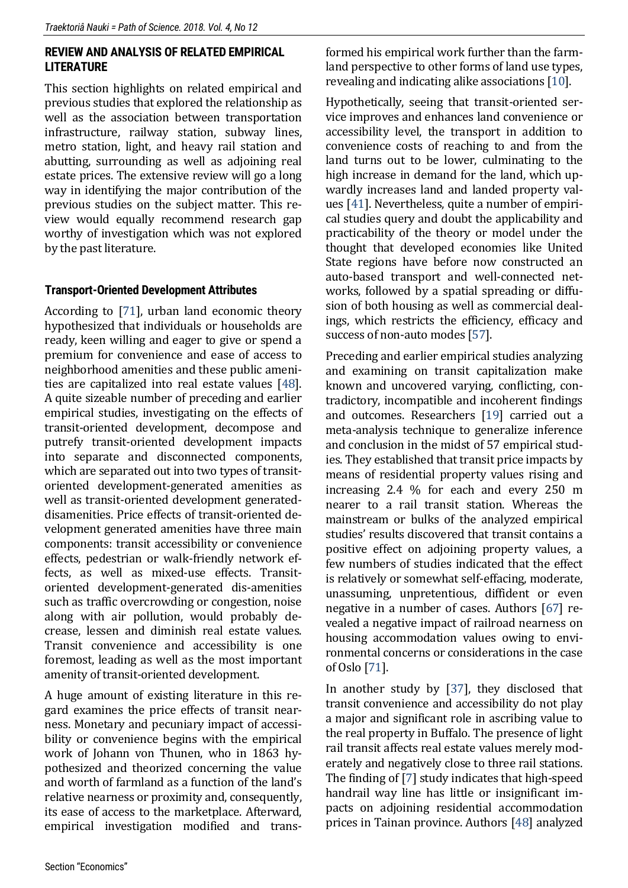#### **REVIEW AND ANALYSIS OF RELATED EMPIRICAL LITERATURE**

This section highlights on related empirical and previous studies that explored the relationship as well as the association between transportation infrastructure, railway station, subway lines, metro station, light, and heavy rail station and abutting, surrounding as well as adjoining real estate prices. The extensive review will go a long way in identifying the major contribution of the previous studies on the subject matter. This review would equally recommend research gap worthy of investigation which was not explored by the past literature.

#### **Transport-Oriented Development Attributes**

According to [\[71\]](#page-19-4), urban land economic theory hypothesized that individuals or households are ready, keen willing and eager to give or spend a premium for convenience and ease of access to neighborhood amenities and these public amenities are capitalized into real estate values [\[48\]](#page-18-4). A quite sizeable number of preceding and earlier empirical studies, investigating on the effects of transit-oriented development, decompose and putrefy transit-oriented development impacts into separate and disconnected components, which are separated out into two types of transitoriented development-generated amenities as well as transit-oriented development generateddisamenities. Price effects of transit-oriented development generated amenities have three main components: transit accessibility or convenience effects, pedestrian or walk-friendly network effects, as well as mixed-use effects. Transitoriented development-generated dis-amenities such as traffic overcrowding or congestion, noise along with air pollution, would probably decrease, lessen and diminish real estate values. Transit convenience and accessibility is one foremost, leading as well as the most important amenity of transit-oriented development.

A huge amount of existing literature in this regard examines the price effects of transit nearness. Monetary and pecuniary impact of accessibility or convenience begins with the empirical work of Johann von Thunen, who in 1863 hypothesized and theorized concerning the value and worth of farmland as a function of the land's relative nearness or proximity and, consequently, its ease of access to the marketplace. Afterward, empirical investigation modified and trans-

formed his empirical work further than the farmland perspective to other forms of land use types, revealing and indicating alike associations [\[10\]](#page-15-3).

Hypothetically, seeing that transit-oriented service improves and enhances land convenience or accessibility level, the transport in addition to convenience costs of reaching to and from the land turns out to be lower, culminating to the high increase in demand for the land, which upwardly increases land and landed property values [\[41\]](#page-17-5). Nevertheless, quite a number of empirical studies query and doubt the applicability and practicability of the theory or model under the thought that developed economies like United State regions have before now constructed an auto-based transport and well-connected networks, followed by a spatial spreading or diffusion of both housing as well as commercial dealings, which restricts the efficiency, efficacy and success of non-auto modes [\[57\]](#page-18-5).

Preceding and earlier empirical studies analyzing and examining on transit capitalization make known and uncovered varying, conflicting, contradictory, incompatible and incoherent findings and outcomes. Researchers [\[19\]](#page-16-3) carried out a meta-analysis technique to generalize inference and conclusion in the midst of 57 empirical studies. They established that transit price impacts by means of residential property values rising and increasing 2.4 % for each and every 250 m nearer to a rail transit station. Whereas the mainstream or bulks of the analyzed empirical studies' results discovered that transit contains a positive effect on adjoining property values, a few numbers of studies indicated that the effect is relatively or somewhat self-effacing, moderate, unassuming, unpretentious, diffident or even negative in a number of cases. Authors [\[67\]](#page-19-5) revealed a negative impact of railroad nearness on housing accommodation values owing to environmental concerns or considerations in the case of Oslo [\[71\]](#page-19-4).

In another study by [\[37\]](#page-17-6), they disclosed that transit convenience and accessibility do not play a major and significant role in ascribing value to the real property in Buffalo. The presence of light rail transit affects real estate values merely moderately and negatively close to three rail stations. The finding of [\[7\]](#page-15-4) study indicates that high-speed handrail way line has little or insignificant impacts on adjoining residential accommodation prices in Tainan province. Authors [\[48\]](#page-18-4) analyzed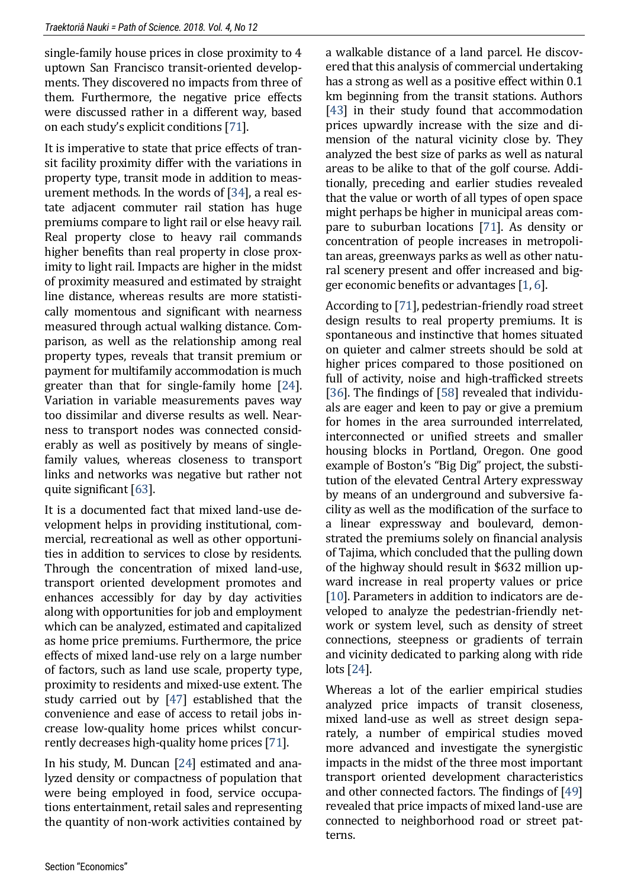single-family house prices in close proximity to 4 uptown San Francisco transit-oriented developments. They discovered no impacts from three of them. Furthermore, the negative price effects were discussed rather in a different way, based on each study's explicit conditions [[71\]](#page-19-4).

It is imperative to state that price effects of transit facility proximity differ with the variations in property type, transit mode in addition to measurement methods. In the words of [\[34\]](#page-17-7), a real estate adjacent commuter rail station has huge premiums compare to light rail or else heavy rail. Real property close to heavy rail commands higher benefits than real property in close proximity to light rail. Impacts are higher in the midst of proximity measured and estimated by straight line distance, whereas results are more statistically momentous and significant with nearness measured through actual walking distance. Comparison, as well as the relationship among real property types, reveals that transit premium or payment for multifamily accommodation is much greater than that for single-family home [\[24\]](#page-16-4). Variation in variable measurements paves way too dissimilar and diverse results as well. Nearness to transport nodes was connected considerably as well as positively by means of singlefamily values, whereas closeness to transport links and networks was negative but rather not quite significant [\[63\]](#page-18-6).

It is a documented fact that mixed land-use development helps in providing institutional, commercial, recreational as well as other opportunities in addition to services to close by residents. Through the concentration of mixed land-use, transport oriented development promotes and enhances accessibly for day by day activities along with opportunities for job and employment which can be analyzed, estimated and capitalized as home price premiums. Furthermore, the price effects of mixed land-use rely on a large number of factors, such as land use scale, property type, proximity to residents and mixed-use extent. The study carried out by [\[47\]](#page-18-7) established that the convenience and ease of access to retail jobs increase low-quality home prices whilst concurrently decreases high-quality home prices [\[71\]](#page-19-4).

In his study, M. Duncan [\[24\]](#page-16-4) estimated and analyzed density or compactness of population that were being employed in food, service occupations entertainment, retail sales and representing the quantity of non-work activities contained by

a walkable distance of a land parcel. He discovered that this analysis of commercial undertaking has a strong as well as a positive effect within 0.1 km beginning from the transit stations. Authors [\[43\]](#page-17-8) in their study found that accommodation prices upwardly increase with the size and dimension of the natural vicinity close by. They analyzed the best size of parks as well as natural areas to be alike to that of the golf course. Additionally, preceding and earlier studies revealed that the value or worth of all types of open space might perhaps be higher in municipal areas compare to suburban locations [\[71\]](#page-19-4). As density or concentration of people increases in metropolitan areas, greenways parks as well as other natural scenery present and offer increased and bigger economic benefits or advantages [\[1,](#page-15-5) [6\]](#page-15-6).

According to [\[71\]](#page-19-4), pedestrian-friendly road street design results to real property premiums. It is spontaneous and instinctive that homes situated on quieter and calmer streets should be sold at higher prices compared to those positioned on full of activity, noise and high-trafficked streets [\[36\]](#page-17-9). The findings of [\[58\]](#page-18-8) revealed that individuals are eager and keen to pay or give a premium for homes in the area surrounded interrelated, interconnected or unified streets and smaller housing blocks in Portland, Oregon. One good example of Boston's "Big Dig" project, the substitution of the elevated Central Artery expressway by means of an underground and subversive facility as well as the modification of the surface to a linear expressway and boulevard, demonstrated the premiums solely on financial analysis of Tajima, which concluded that the pulling down of the highway should result in \$632 million upward increase in real property values or price [\[10\]](#page-15-3). Parameters in addition to indicators are developed to analyze the pedestrian-friendly network or system level, such as density of street connections, steepness or gradients of terrain and vicinity dedicated to parking along with ride lots [\[24\]](#page-16-4).

Whereas a lot of the earlier empirical studies analyzed price impacts of transit closeness, mixed land-use as well as street design separately, a number of empirical studies moved more advanced and investigate the synergistic impacts in the midst of the three most important transport oriented development characteristics and other connected factors. The findings of [\[49\]](#page-18-9) revealed that price impacts of mixed land-use are connected to neighborhood road or street patterns.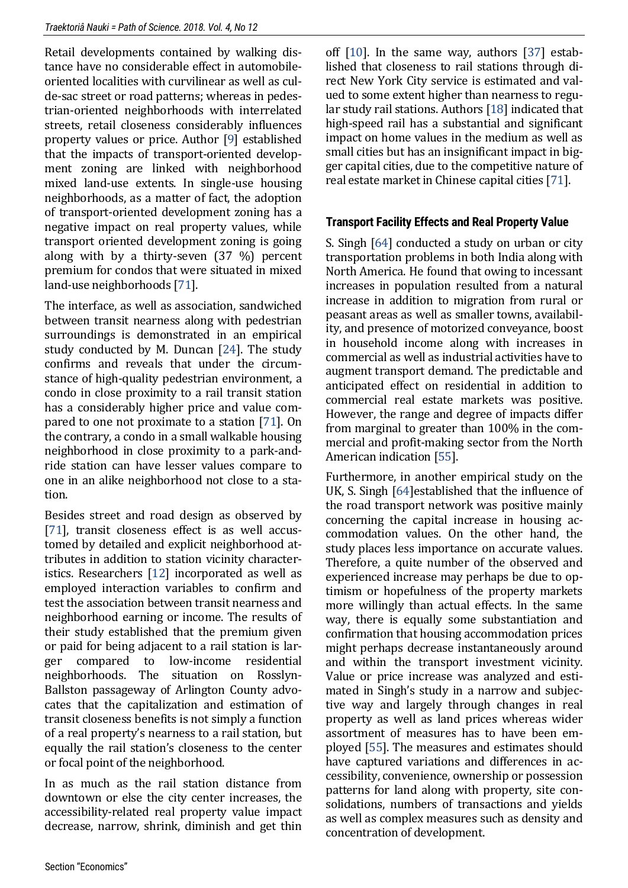Retail developments contained by walking distance have no considerable effect in automobileoriented localities with curvilinear as well as culde-sac street or road patterns; whereas in pedestrian-oriented neighborhoods with interrelated streets, retail closeness considerably influences property values or price. Author [\[9\]](#page-15-7) established that the impacts of transport-oriented development zoning are linked with neighborhood mixed land-use extents. In single-use housing neighborhoods, as a matter of fact, the adoption of transport-oriented development zoning has a negative impact on real property values, while transport oriented development zoning is going along with by a thirty-seven (37 %) percent premium for condos that were situated in mixed land-use neighborhoods [\[71\]](#page-19-4).

The interface, as well as association, sandwiched between transit nearness along with pedestrian surroundings is demonstrated in an empirical study conducted by M. Duncan [\[24\]](#page-16-4). The study confirms and reveals that under the circumstance of high-quality pedestrian environment, a condo in close proximity to a rail transit station has a considerably higher price and value compared to one not proximate to a station [\[71\]](#page-19-4). On the contrary, a condo in a small walkable housing neighborhood in close proximity to a park-andride station can have lesser values compare to one in an alike neighborhood not close to a station.

Besides street and road design as observed by [\[71\]](#page-19-4), transit closeness effect is as well accustomed by detailed and explicit neighborhood attributes in addition to station vicinity characteristics. Researchers [\[12\]](#page-16-5) incorporated as well as employed interaction variables to confirm and test the association between transit nearness and neighborhood earning or income. The results of their study established that the premium given or paid for being adjacent to a rail station is larger compared to low-income residential neighborhoods. The situation on Rosslyn-Ballston passageway of Arlington County advocates that the capitalization and estimation of transit closeness benefits is not simply a function of a real property's nearness to a rail station, but equally the rail station's closeness to the center or focal point of the neighborhood.

In as much as the rail station distance from downtown or else the city center increases, the accessibility-related real property value impact decrease, narrow, shrink, diminish and get thin

off [\[10\]](#page-15-3). In the same way, authors [\[37\]](#page-17-6) established that closeness to rail stations through direct New York City service is estimated and valued to some extent higher than nearness to regular study rail stations. Authors [\[18\]](#page-16-6) indicated that high-speed rail has a substantial and significant impact on home values in the medium as well as small cities but has an insignificant impact in bigger capital cities, due to the competitive nature of real estate market in Chinese capital cities [\[71\]](#page-19-4).

# **Transport Facility Effects and Real Property Value**

S. Singh [\[64\]](#page-19-6) conducted a study on urban or city transportation problems in both India along with North America. He found that owing to incessant increases in population resulted from a natural increase in addition to migration from rural or peasant areas as well as smaller towns, availability, and presence of motorized conveyance, boost in household income along with increases in commercial as well as industrial activities have to augment transport demand. The predictable and anticipated effect on residential in addition to commercial real estate markets was positive. However, the range and degree of impacts differ from marginal to greater than 100% in the commercial and profit-making sector from the North American indication [\[55\]](#page-18-0).

Furthermore, in another empirical study on the UK, S. Singh [\[64\]](#page-19-6)established that the influence of the road transport network was positive mainly concerning the capital increase in housing accommodation values. On the other hand, the study places less importance on accurate values. Therefore, a quite number of the observed and experienced increase may perhaps be due to optimism or hopefulness of the property markets more willingly than actual effects. In the same way, there is equally some substantiation and confirmation that housing accommodation prices might perhaps decrease instantaneously around and within the transport investment vicinity. Value or price increase was analyzed and estimated in Singh's study in a narrow and subjective way and largely through changes in real property as well as land prices whereas wider assortment of measures has to have been employed [\[55\]](#page-18-0). The measures and estimates should have captured variations and differences in accessibility, convenience, ownership or possession patterns for land along with property, site consolidations, numbers of transactions and yields as well as complex measures such as density and concentration of development.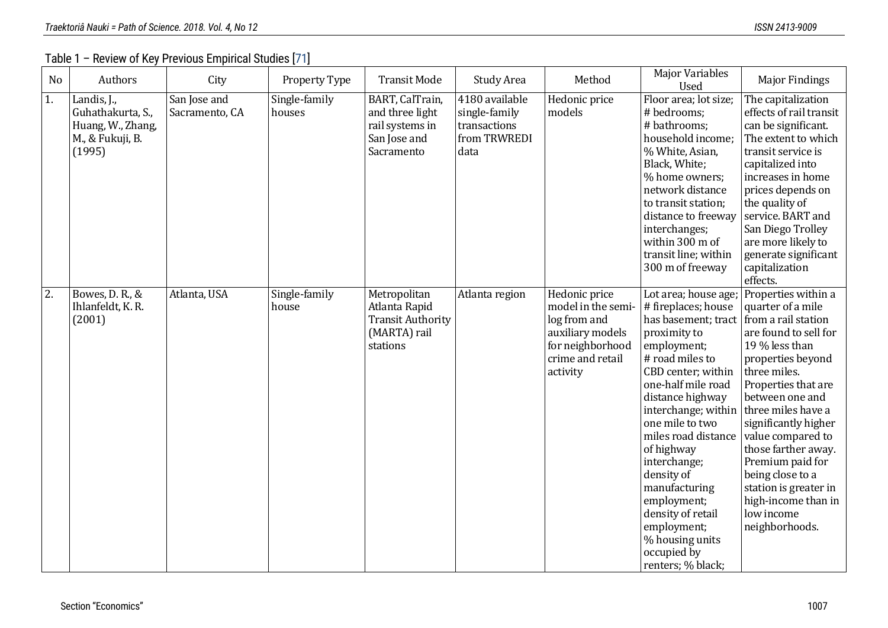Table 1 – Review of Key Previous Empirical Studies [\[71\]](#page-19-7)

| N <sub>o</sub>   | Authors                                                                             | City                           | Property Type           | <b>Transit Mode</b>                                                                   | Study Area                                                              | Method                                                                                                                      | <b>Major Variables</b><br>Used                                                                                                                                                                                                                                                                                                                                                                                                                  | <b>Major Findings</b>                                                                                                                                                                                                                                                                                                                                                                 |
|------------------|-------------------------------------------------------------------------------------|--------------------------------|-------------------------|---------------------------------------------------------------------------------------|-------------------------------------------------------------------------|-----------------------------------------------------------------------------------------------------------------------------|-------------------------------------------------------------------------------------------------------------------------------------------------------------------------------------------------------------------------------------------------------------------------------------------------------------------------------------------------------------------------------------------------------------------------------------------------|---------------------------------------------------------------------------------------------------------------------------------------------------------------------------------------------------------------------------------------------------------------------------------------------------------------------------------------------------------------------------------------|
| 1.               | Landis, J.,<br>Guhathakurta, S.,<br>Huang, W., Zhang,<br>M., & Fukuji, B.<br>(1995) | San Jose and<br>Sacramento, CA | Single-family<br>houses | BART, CalTrain,<br>and three light<br>rail systems in<br>San Jose and<br>Sacramento   | 4180 available<br>single-family<br>transactions<br>from TRWREDI<br>data | Hedonic price<br>models                                                                                                     | Floor area; lot size;<br># bedrooms;<br># bathrooms;<br>household income;<br>% White, Asian,<br>Black, White;<br>% home owners;<br>network distance<br>to transit station;<br>distance to freeway<br>interchanges;<br>within 300 m of<br>transit line; within<br>300 m of freeway                                                                                                                                                               | The capitalization<br>effects of rail transit<br>can be significant.<br>The extent to which<br>transit service is<br>capitalized into<br>increases in home<br>prices depends on<br>the quality of<br>service. BART and<br>San Diego Trolley<br>are more likely to<br>generate significant<br>capitalization<br>effects.                                                               |
| $\overline{2}$ . | Bowes, D. R., &<br>Ihlanfeldt, K. R.<br>(2001)                                      | Atlanta, USA                   | Single-family<br>house  | Metropolitan<br>Atlanta Rapid<br><b>Transit Authority</b><br>(MARTA) rail<br>stations | Atlanta region                                                          | Hedonic price<br>model in the semi-<br>log from and<br>auxiliary models<br>for neighborhood<br>crime and retail<br>activity | Lot area; house age;<br># fireplaces; house<br>has basement; tract<br>proximity to<br>employment;<br># road miles to<br>CBD center; within<br>one-half mile road<br>distance highway<br>interchange; within three miles have a<br>one mile to two<br>miles road distance<br>of highway<br>interchange;<br>density of<br>manufacturing<br>employment;<br>density of retail<br>employment;<br>% housing units<br>occupied by<br>renters; % black; | Properties within a<br>quarter of a mile<br>from a rail station<br>are found to sell for<br>19 % less than<br>properties beyond<br>three miles.<br>Properties that are<br>between one and<br>significantly higher<br>value compared to<br>those farther away.<br>Premium paid for<br>being close to a<br>station is greater in<br>high-income than in<br>low income<br>neighborhoods. |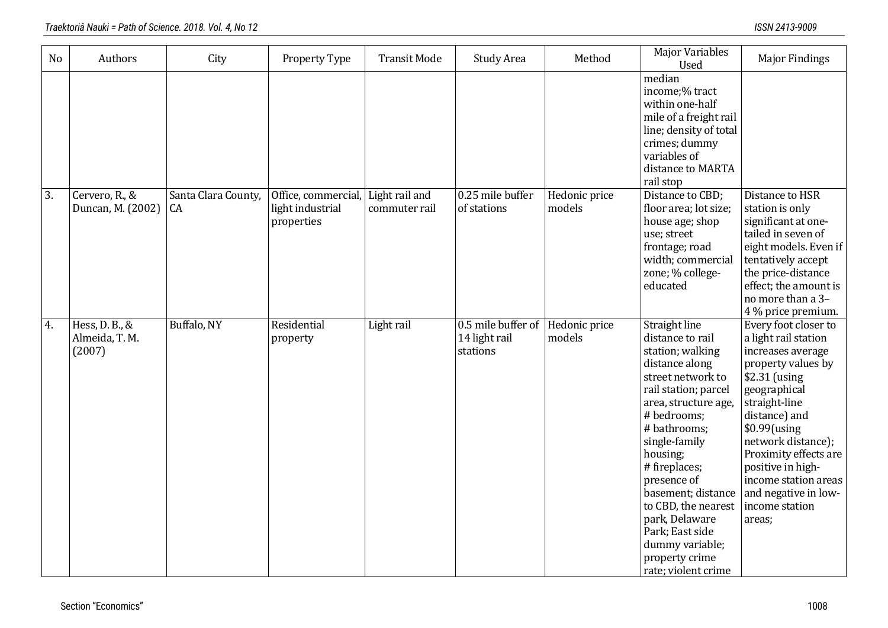| N <sub>o</sub>   | Authors                                    | City                             | Property Type                                         | <b>Transit Mode</b>             | <b>Study Area</b>                               | Method                  | <b>Major Variables</b><br><b>Used</b>                                                                                                                                                                                                                                                                                                                                                  | <b>Major Findings</b>                                                                                                                                                                                                                                                                                                        |
|------------------|--------------------------------------------|----------------------------------|-------------------------------------------------------|---------------------------------|-------------------------------------------------|-------------------------|----------------------------------------------------------------------------------------------------------------------------------------------------------------------------------------------------------------------------------------------------------------------------------------------------------------------------------------------------------------------------------------|------------------------------------------------------------------------------------------------------------------------------------------------------------------------------------------------------------------------------------------------------------------------------------------------------------------------------|
|                  |                                            |                                  |                                                       |                                 |                                                 |                         | median<br>income;% tract<br>within one-half<br>mile of a freight rail<br>line; density of total<br>crimes; dummy<br>variables of<br>distance to MARTA<br>rail stop                                                                                                                                                                                                                     |                                                                                                                                                                                                                                                                                                                              |
| $\overline{3}$ . | Cervero, R., &<br>Duncan, M. (2002)        | Santa Clara County,<br><b>CA</b> | Office, commercial,<br>light industrial<br>properties | Light rail and<br>commuter rail | 0.25 mile buffer<br>of stations                 | Hedonic price<br>models | Distance to CBD;<br>floor area; lot size;<br>house age; shop<br>use; street<br>frontage; road<br>width; commercial<br>zone; % college-<br>educated                                                                                                                                                                                                                                     | Distance to HSR<br>station is only<br>significant at one-<br>tailed in seven of<br>eight models. Even if<br>tentatively accept<br>the price-distance<br>effect; the amount is<br>no more than a 3-<br>4 % price premium.                                                                                                     |
| 4.               | Hess, D. B., &<br>Almeida, T. M.<br>(2007) | Buffalo, NY                      | Residential<br>property                               | Light rail                      | 0.5 mile buffer of<br>14 light rail<br>stations | Hedonic price<br>models | Straight line<br>distance to rail<br>station; walking<br>distance along<br>street network to<br>rail station; parcel<br>area, structure age,<br># bedrooms;<br># bathrooms;<br>single-family<br>housing;<br># fireplaces;<br>presence of<br>basement; distance<br>to CBD, the nearest<br>park, Delaware<br>Park; East side<br>dummy variable;<br>property crime<br>rate; violent crime | Every foot closer to<br>a light rail station<br>increases average<br>property values by<br>\$2.31 (using<br>geographical<br>straight-line<br>distance) and<br>$$0.99$ (using<br>network distance);<br>Proximity effects are<br>positive in high-<br>income station areas<br>and negative in low-<br>income station<br>areas; |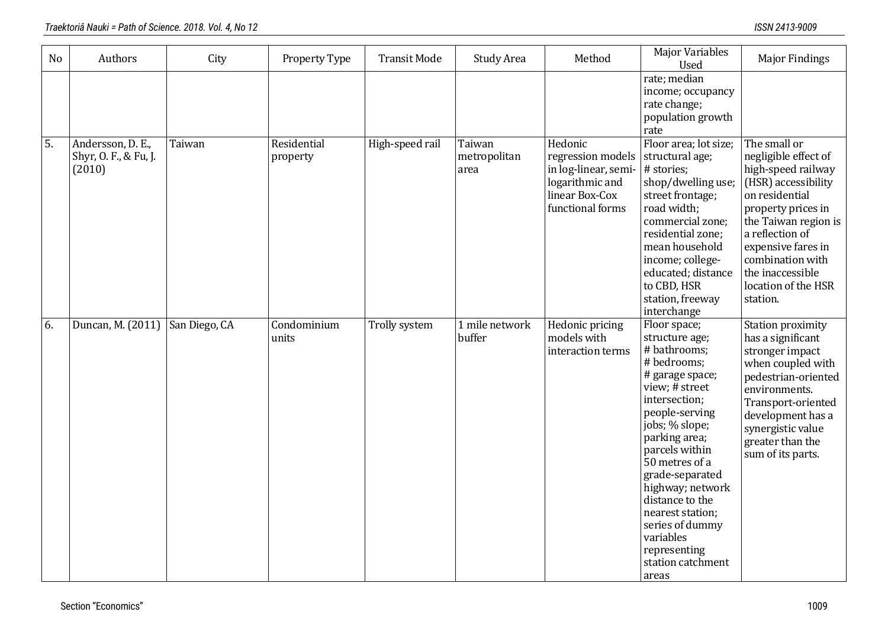| N <sub>o</sub>   | Authors                                              | City          | Property Type           | <b>Transit Mode</b> | Study Area                     | Method                                                                                                        | <b>Major Variables</b><br><b>Used</b>                                                                                                                                                                                                                                                                                                                                    | <b>Major Findings</b>                                                                                                                                                                                                                                                 |
|------------------|------------------------------------------------------|---------------|-------------------------|---------------------|--------------------------------|---------------------------------------------------------------------------------------------------------------|--------------------------------------------------------------------------------------------------------------------------------------------------------------------------------------------------------------------------------------------------------------------------------------------------------------------------------------------------------------------------|-----------------------------------------------------------------------------------------------------------------------------------------------------------------------------------------------------------------------------------------------------------------------|
|                  |                                                      |               |                         |                     |                                |                                                                                                               | rate; median<br>income; occupancy<br>rate change;<br>population growth<br>rate                                                                                                                                                                                                                                                                                           |                                                                                                                                                                                                                                                                       |
| $\overline{5}$ . | Andersson, D. E.,<br>Shyr, O. F., & Fu, J.<br>(2010) | Taiwan        | Residential<br>property | High-speed rail     | Taiwan<br>metropolitan<br>area | Hedonic<br>regression models<br>in log-linear, semi-<br>logarithmic and<br>linear Box-Cox<br>functional forms | Floor area; lot size;<br>structural age;<br># stories;<br>shop/dwelling use;<br>street frontage;<br>road width;<br>commercial zone;<br>residential zone;<br>mean household<br>income; college-<br>educated; distance<br>to CBD, HSR<br>station, freeway<br>interchange                                                                                                   | The small or<br>negligible effect of<br>high-speed railway<br>(HSR) accessibility<br>on residential<br>property prices in<br>the Taiwan region is<br>a reflection of<br>expensive fares in<br>combination with<br>the inaccessible<br>location of the HSR<br>station. |
| 6.               | Duncan, M. (2011)                                    | San Diego, CA | Condominium<br>units    | Trolly system       | 1 mile network<br>buffer       | Hedonic pricing<br>models with<br>interaction terms                                                           | Floor space;<br>structure age;<br># bathrooms;<br># bedrooms;<br># garage space;<br>view; # street<br>intersection;<br>people-serving<br>jobs; % slope;<br>parking area;<br>parcels within<br>50 metres of a<br>grade-separated<br>highway; network<br>distance to the<br>nearest station;<br>series of dummy<br>variables<br>representing<br>station catchment<br>areas | Station proximity<br>has a significant<br>stronger impact<br>when coupled with<br>pedestrian-oriented<br>environments.<br>Transport-oriented<br>development has a<br>synergistic value<br>greater than the<br>sum of its parts.                                       |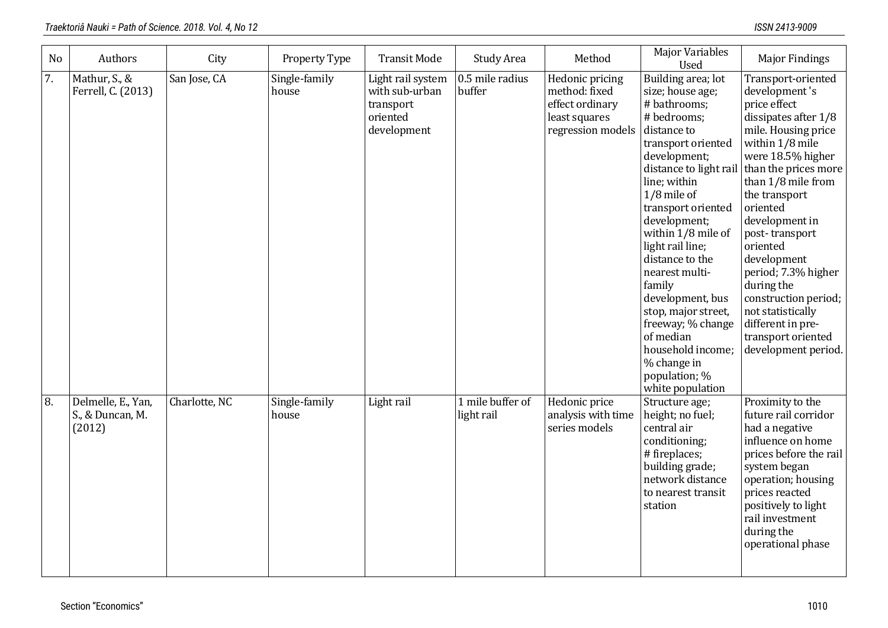| <b>No</b> | Authors                                          | City          | Property Type          | <b>Transit Mode</b>                                                         | <b>Study Area</b>              | Method                                                                                    | <b>Major Variables</b><br>Used                                                                                                                                                                                                                                                                                                                                                                                                                                             | <b>Major Findings</b>                                                                                                                                                                                                                                                                                                                                                                                                                    |
|-----------|--------------------------------------------------|---------------|------------------------|-----------------------------------------------------------------------------|--------------------------------|-------------------------------------------------------------------------------------------|----------------------------------------------------------------------------------------------------------------------------------------------------------------------------------------------------------------------------------------------------------------------------------------------------------------------------------------------------------------------------------------------------------------------------------------------------------------------------|------------------------------------------------------------------------------------------------------------------------------------------------------------------------------------------------------------------------------------------------------------------------------------------------------------------------------------------------------------------------------------------------------------------------------------------|
| 7.        | Mathur, S., &<br>Ferrell, C. (2013)              | San Jose, CA  | Single-family<br>house | Light rail system<br>with sub-urban<br>transport<br>oriented<br>development | 0.5 mile radius<br>buffer      | Hedonic pricing<br>method: fixed<br>effect ordinary<br>least squares<br>regression models | Building area; lot<br>size; house age;<br># bathrooms;<br># bedrooms;<br>distance to<br>transport oriented<br>development;<br>distance to light rail<br>line; within<br>$1/8$ mile of<br>transport oriented<br>development;<br>within 1/8 mile of<br>light rail line;<br>distance to the<br>nearest multi-<br>family<br>development, bus<br>stop, major street,<br>freeway; % change<br>of median<br>household income;<br>% change in<br>population; %<br>white population | Transport-oriented<br>development's<br>price effect<br>dissipates after 1/8<br>mile. Housing price<br>within 1/8 mile<br>were 18.5% higher<br>than the prices more<br>than 1/8 mile from<br>the transport<br>oriented<br>development in<br>post-transport<br>oriented<br>development<br>period; 7.3% higher<br>during the<br>construction period;<br>not statistically<br>different in pre-<br>transport oriented<br>development period. |
| 8.        | Delmelle, E., Yan,<br>S., & Duncan, M.<br>(2012) | Charlotte, NC | Single-family<br>house | Light rail                                                                  | 1 mile buffer of<br>light rail | Hedonic price<br>analysis with time<br>series models                                      | Structure age;<br>height; no fuel;<br>central air<br>conditioning;<br># fireplaces;<br>building grade;<br>network distance<br>to nearest transit<br>station                                                                                                                                                                                                                                                                                                                | Proximity to the<br>future rail corridor<br>had a negative<br>influence on home<br>prices before the rail<br>system began<br>operation; housing<br>prices reacted<br>positively to light<br>rail investment<br>during the<br>operational phase                                                                                                                                                                                           |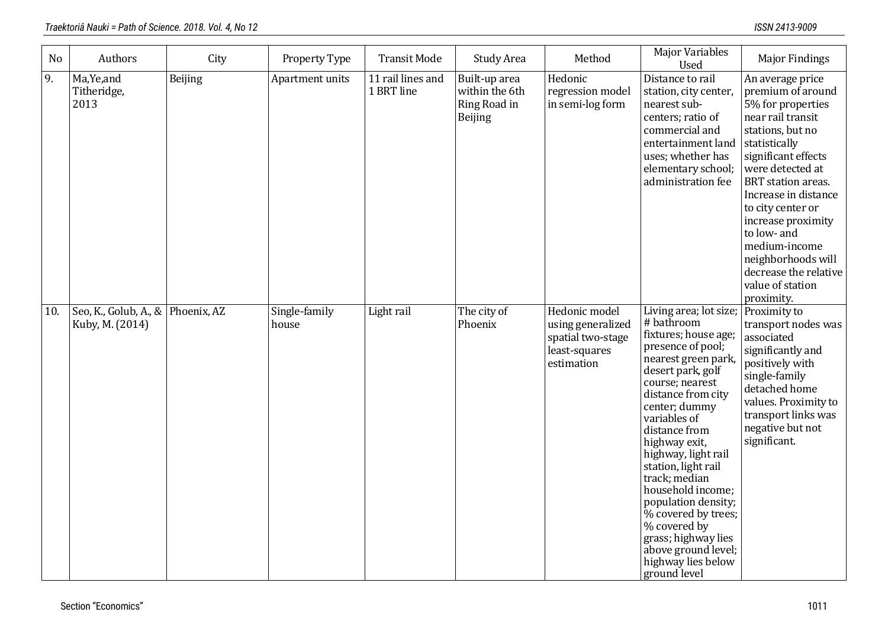| No  | Authors                                              | City           | Property Type          | <b>Transit Mode</b>             | Study Area                                                 | Method                                                                                 | <b>Major Variables</b><br>Used                                                                                                                                                                                                                                                                                                                                                                                                                                                  | <b>Major Findings</b>                                                                                                                                                                                                                                                                                                                                                     |
|-----|------------------------------------------------------|----------------|------------------------|---------------------------------|------------------------------------------------------------|----------------------------------------------------------------------------------------|---------------------------------------------------------------------------------------------------------------------------------------------------------------------------------------------------------------------------------------------------------------------------------------------------------------------------------------------------------------------------------------------------------------------------------------------------------------------------------|---------------------------------------------------------------------------------------------------------------------------------------------------------------------------------------------------------------------------------------------------------------------------------------------------------------------------------------------------------------------------|
| 9.  | Ma, Ye, and<br>Titheridge,<br>2013                   | <b>Beijing</b> | Apartment units        | 11 rail lines and<br>1 BRT line | Built-up area<br>within the 6th<br>Ring Road in<br>Beijing | Hedonic<br>regression model<br>in semi-log form                                        | Distance to rail<br>station, city center,<br>nearest sub-<br>centers; ratio of<br>commercial and<br>entertainment land<br>uses; whether has<br>elementary school;<br>administration fee                                                                                                                                                                                                                                                                                         | An average price<br>premium of around<br>5% for properties<br>near rail transit<br>stations, but no<br>statistically<br>significant effects<br>were detected at<br>BRT station areas.<br>Increase in distance<br>to city center or<br>increase proximity<br>to low- and<br>medium-income<br>neighborhoods will<br>decrease the relative<br>value of station<br>proximity. |
| 10. | Seo, K., Golub, A., & Phoenix, AZ<br>Kuby, M. (2014) |                | Single-family<br>house | Light rail                      | The city of<br>Phoenix                                     | Hedonic model<br>using generalized<br>spatial two-stage<br>least-squares<br>estimation | Living area; lot size;<br># bathroom<br>fixtures; house age;<br>presence of pool;<br>nearest green park,<br>desert park, golf<br>course; nearest<br>distance from city<br>center; dummy<br>variables of<br>distance from<br>highway exit,<br>highway, light rail<br>station, light rail<br>track; median<br>household income;<br>population density;<br>% covered by trees;<br>% covered by<br>grass; highway lies<br>above ground level;<br>highway lies below<br>ground level | Proximity to<br>transport nodes was<br>associated<br>significantly and<br>positively with<br>single-family<br>detached home<br>values. Proximity to<br>transport links was<br>negative but not<br>significant.                                                                                                                                                            |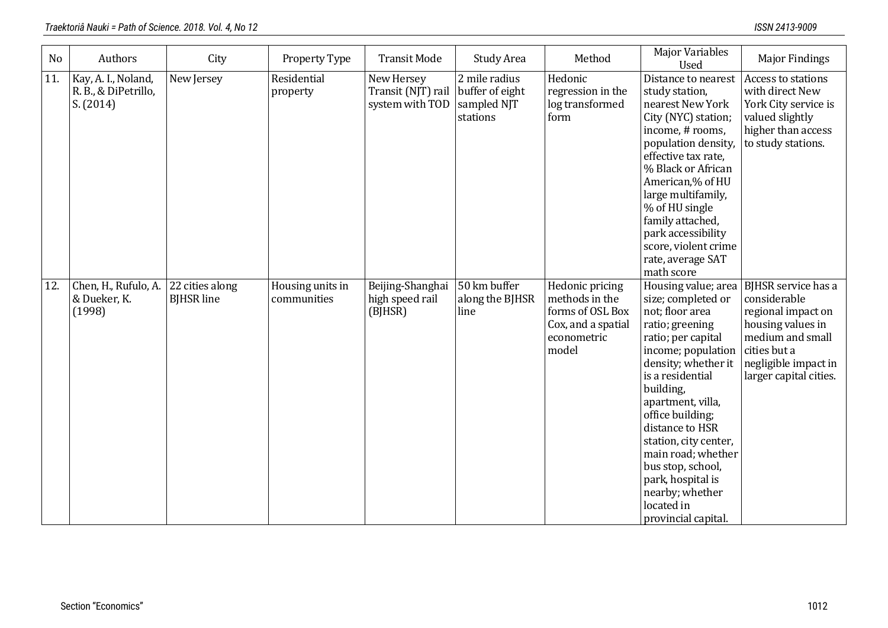| <b>No</b> | Authors                                                  | City                                 | Property Type                   | <b>Transit Mode</b>                                 | <b>Study Area</b>                                           | Method                                                                                              | <b>Major Variables</b><br><b>Used</b>                                                                                                                                                                                                                                                                                                                                                            | <b>Major Findings</b>                                                                                                                                                |
|-----------|----------------------------------------------------------|--------------------------------------|---------------------------------|-----------------------------------------------------|-------------------------------------------------------------|-----------------------------------------------------------------------------------------------------|--------------------------------------------------------------------------------------------------------------------------------------------------------------------------------------------------------------------------------------------------------------------------------------------------------------------------------------------------------------------------------------------------|----------------------------------------------------------------------------------------------------------------------------------------------------------------------|
| 11.       | Kay, A. I., Noland,<br>R. B., & DiPetrillo,<br>S. (2014) | New Jersey                           | Residential<br>property         | New Hersey<br>Transit (NJT) rail<br>system with TOD | 2 mile radius<br>buffer of eight<br>sampled NJT<br>stations | Hedonic<br>regression in the<br>log transformed<br>form                                             | Distance to nearest<br>study station,<br>nearest New York<br>City (NYC) station;<br>income, # rooms,<br>population density,<br>effective tax rate,<br>% Black or African<br>American,% of HU<br>large multifamily,<br>% of HU single<br>family attached,<br>park accessibility<br>score, violent crime<br>rate, average SAT<br>math score                                                        | Access to stations<br>with direct New<br>York City service is<br>valued slightly<br>higher than access<br>to study stations.                                         |
| 12.       | Chen, H., Rufulo, A.<br>& Dueker, K.<br>(1998)           | 22 cities along<br><b>BIHSR</b> line | Housing units in<br>communities | Beijing-Shanghai<br>high speed rail<br>(BJHSR)      | 50 km buffer<br>along the BJHSR<br>line                     | Hedonic pricing<br>methods in the<br>forms of OSL Box<br>Cox, and a spatial<br>econometric<br>model | Housing value; area<br>size; completed or<br>not; floor area<br>ratio; greening<br>ratio; per capital<br>income; population<br>density; whether it<br>is a residential<br>building,<br>apartment, villa,<br>office building;<br>distance to HSR<br>station, city center,<br>main road; whether<br>bus stop, school,<br>park, hospital is<br>nearby; whether<br>located in<br>provincial capital. | BJHSR service has a<br>considerable<br>regional impact on<br>housing values in<br>medium and small<br>cities but a<br>negligible impact in<br>larger capital cities. |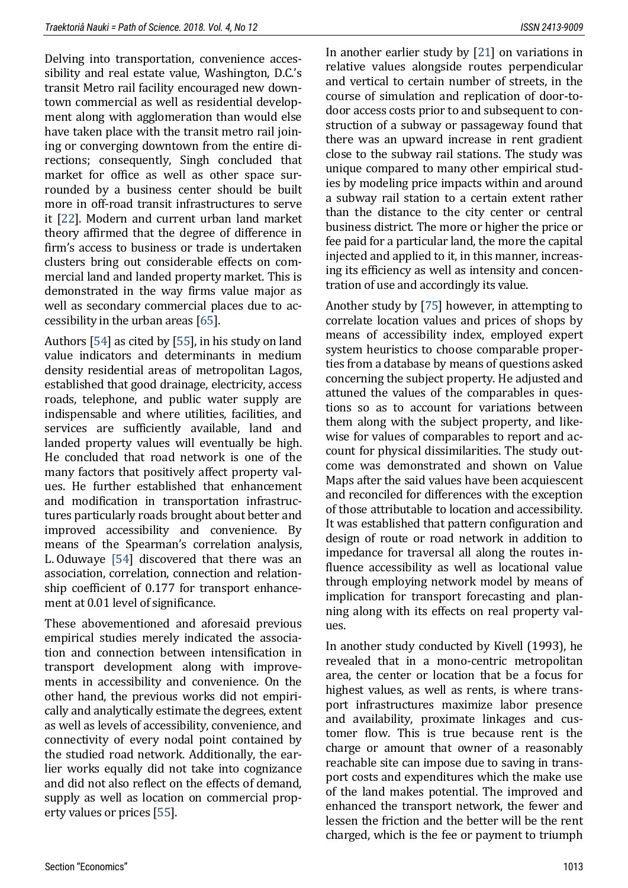Delving into transportation, convenience accessibility and real estate value, Washington, D.C.'s transit Metro rail facility encouraged new downtown commercial as well as residential development along with agglomeration than would else have taken place with the transit metro rail joining or converging downtown from the entire directions; consequently, Singh concluded that market for office as well as other space surrounded by a business center should be built more in off-road transit infrastructures to serve it [\[22\]](#page-16-7). Modern and current urban land market theory affirmed that the degree of difference in firm's access to business or trade is undertaken clusters bring out considerable effects on commercial land and landed property market. This is demonstrated in the way firms value major as well as secondary commercial places due to accessibility in the urban areas [\[65\]](#page-19-8).

Authors [\[54\]](#page-18-10) as cited by [\[55\]](#page-18-0), in his study on land value indicators and determinants in medium density residential areas of metropolitan Lagos, established that good drainage, electricity, access roads, telephone, and public water supply are indispensable and where utilities, facilities, and services are sufficiently available, land and landed property values will eventually be high. He concluded that road network is one of the many factors that positively affect property values. He further established that enhancement and modification in transportation infrastructures particularly roads brought about better and improved accessibility and convenience. By means of the Spearman's correlation analysis, L. Oduwaye [\[54\]](#page-18-10) discovered that there was an association, correlation, connection and relationship coefficient of 0.177 for transport enhancement at 0.01 level of significance.

These abovementioned and aforesaid previous empirical studies merely indicated the association and connection between intensification in transport development along with improvements in accessibility and convenience. On the other hand, the previous works did not empirically and analytically estimate the degrees, extent as well as levels of accessibility, convenience, and connectivity of every nodal point contained by the studied road network. Additionally, the earlier works equally did not take into cognizance and did not also reflect on the effects of demand, supply as well as location on commercial property values or prices [\[55\]](#page-18-0).

In another earlier study by [\[21\]](#page-16-8) on variations in relative values alongside routes perpendicular and vertical to certain number of streets, in the course of simulation and replication of door-todoor access costs prior to and subsequent to construction of a subway or passageway found that there was an upward increase in rent gradient close to the subway rail stations. The study was unique compared to many other empirical studies by modeling price impacts within and around a subway rail station to a certain extent rather than the distance to the city center or central business district. The more or higher the price or fee paid for a particular land, the more the capital injected and applied to it, in this manner, increasing its efficiency as well as intensity and concentration of use and accordingly its value.

Another study by [\[75\]](#page-19-9) however, in attempting to correlate location values and prices of shops by means of accessibility index, employed expert system heuristics to choose comparable properties from a database by means of questions asked concerning the subject property. He adjusted and attuned the values of the comparables in questions so as to account for variations between them along with the subject property, and likewise for values of comparables to report and account for physical dissimilarities. The study outcome was demonstrated and shown on Value Maps after the said values have been acquiescent and reconciled for differences with the exception of those attributable to location and accessibility. It was established that pattern configuration and design of route or road network in addition to impedance for traversal all along the routes influence accessibility as well as locational value through employing network model by means of implication for transport forecasting and planning along with its effects on real property values.

In another study conducted by Kivell (1993), he revealed that in a mono-centric metropolitan area, the center or location that be a focus for highest values, as well as rents, is where transport infrastructures maximize labor presence and availability, proximate linkages and customer flow. This is true because rent is the charge or amount that owner of a reasonably reachable site can impose due to saving in transport costs and expenditures which the make use of the land makes potential. The improved and enhanced the transport network, the fewer and lessen the friction and the better will be the rent charged, which is the fee or payment to triumph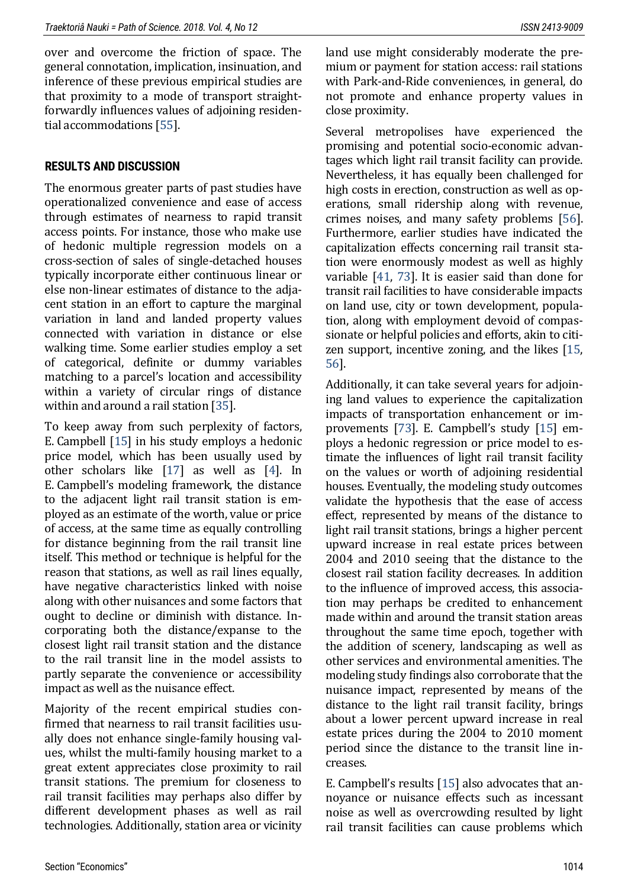over and overcome the friction of space. The general connotation, implication, insinuation, and inference of these previous empirical studies are that proximity to a mode of transport straightforwardly influences values of adjoining residential accommodations [\[55\]](#page-18-0).

#### **RESULTS AND DISCUSSION**

The enormous greater parts of past studies have operationalized convenience and ease of access through estimates of nearness to rapid transit access points. For instance, those who make use of hedonic multiple regression models on a cross-section of sales of single-detached houses typically incorporate either continuous linear or else non-linear estimates of distance to the adjacent station in an effort to capture the marginal variation in land and landed property values connected with variation in distance or else walking time. Some earlier studies employ a set of categorical, definite or dummy variables matching to a parcel's location and accessibility within a variety of circular rings of distance within and around a rail station [\[35\]](#page-17-10).

To keep away from such perplexity of factors, E. Campbell [\[15\]](#page-16-1) in his study employs a hedonic price model, which has been usually used by other scholars like [\[17\]](#page-16-9) as well as [\[4\]](#page-15-8). In E. Campbell's modeling framework, the distance to the adjacent light rail transit station is employed as an estimate of the worth, value or price of access, at the same time as equally controlling for distance beginning from the rail transit line itself. This method or technique is helpful for the reason that stations, as well as rail lines equally, have negative characteristics linked with noise along with other nuisances and some factors that ought to decline or diminish with distance. Incorporating both the distance/expanse to the closest light rail transit station and the distance to the rail transit line in the model assists to partly separate the convenience or accessibility impact as well as the nuisance effect.

Majority of the recent empirical studies confirmed that nearness to rail transit facilities usually does not enhance single-family housing values, whilst the multi-family housing market to a great extent appreciates close proximity to rail transit stations. The premium for closeness to rail transit facilities may perhaps also differ by different development phases as well as rail technologies. Additionally, station area or vicinity land use might considerably moderate the premium or payment for station access: rail stations with Park-and-Ride conveniences, in general, do not promote and enhance property values in close proximity.

Several metropolises have experienced the promising and potential socio-economic advantages which light rail transit facility can provide. Nevertheless, it has equally been challenged for high costs in erection, construction as well as operations, small ridership along with revenue, crimes noises, and many safety problems [\[56\]](#page-18-11). Furthermore, earlier studies have indicated the capitalization effects concerning rail transit station were enormously modest as well as highly variable [\[41,](#page-17-5) [73\]](#page-19-10). It is easier said than done for transit rail facilities to have considerable impacts on land use, city or town development, population, along with employment devoid of compassionate or helpful policies and efforts, akin to citizen support, incentive zoning, and the likes [\[15,](#page-16-1)  [56\]](#page-18-11).

Additionally, it can take several years for adjoining land values to experience the capitalization impacts of transportation enhancement or improvements [\[73](#page-19-10)]. E. Campbell's study [[15\]](#page-16-1) employs a hedonic regression or price model to estimate the influences of light rail transit facility on the values or worth of adjoining residential houses. Eventually, the modeling study outcomes validate the hypothesis that the ease of access effect, represented by means of the distance to light rail transit stations, brings a higher percent upward increase in real estate prices between 2004 and 2010 seeing that the distance to the closest rail station facility decreases. In addition to the influence of improved access, this association may perhaps be credited to enhancement made within and around the transit station areas throughout the same time epoch, together with the addition of scenery, landscaping as well as other services and environmental amenities. The modeling study findings also corroborate that the nuisance impact, represented by means of the distance to the light rail transit facility, brings about a lower percent upward increase in real estate prices during the 2004 to 2010 moment period since the distance to the transit line increases.

E. Campbell's results [[15\]](#page-16-1) also advocates that annoyance or nuisance effects such as incessant noise as well as overcrowding resulted by light rail transit facilities can cause problems which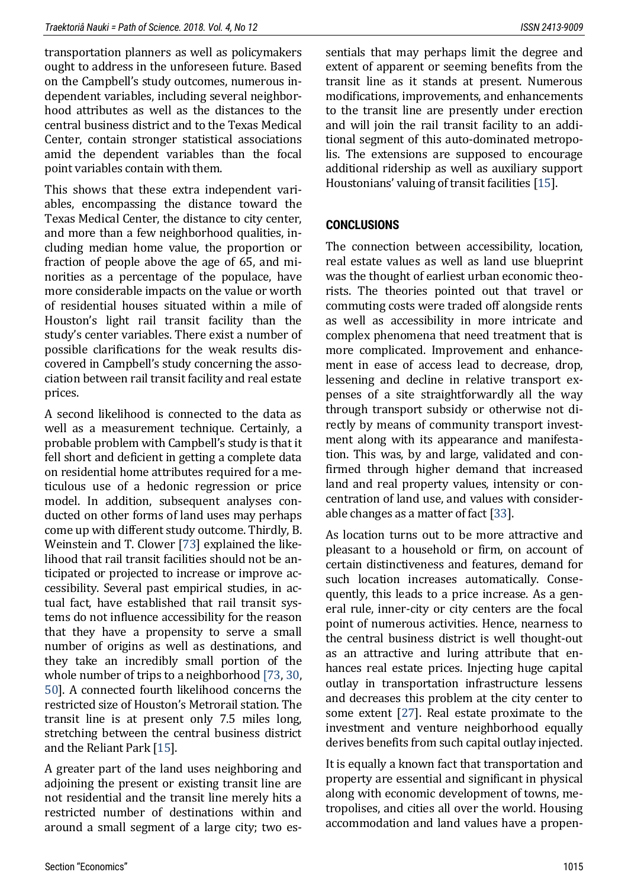transportation planners as well as policymakers ought to address in the unforeseen future. Based on the Campbell's study outcomes, numerous independent variables, including several neighborhood attributes as well as the distances to the central business district and to the Texas Medical Center, contain stronger statistical associations amid the dependent variables than the focal point variables contain with them.

This shows that these extra independent variables, encompassing the distance toward the Texas Medical Center, the distance to city center, and more than a few neighborhood qualities, including median home value, the proportion or fraction of people above the age of 65, and minorities as a percentage of the populace, have more considerable impacts on the value or worth of residential houses situated within a mile of Houston's light rail transit facility than the study's center variables. There exist a number of possible clarifications for the weak results discovered in Campbell's study concerning the association between rail transit facility and real estate prices.

A second likelihood is connected to the data as well as a measurement technique. Certainly, a probable problem with Campbell's study is that it fell short and deficient in getting a complete data on residential home attributes required for a meticulous use of a hedonic regression or price model. In addition, subsequent analyses conducted on other forms of land uses may perhaps come up with different study outcome. Thirdly, B. Weinstein and T. Clower [\[73\]](#page-19-10) explained the likelihood that rail transit facilities should not be anticipated or projected to increase or improve accessibility. Several past empirical studies, in actual fact, have established that rail transit systems do not influence accessibility for the reason that they have a propensity to serve a small number of origins as well as destinations, and they take an incredibly small portion of the whole number of trips to a neighborhood [\[73,](#page-19-10) [30,](#page-17-11) [50\]](#page-18-12). A connected fourth likelihood concerns the restricted size of Houston's Metrorail station. The transit line is at present only 7.5 miles long, stretching between the central business district and the Reliant Park [\[15\]](#page-16-1).

A greater part of the land uses neighboring and adjoining the present or existing transit line are not residential and the transit line merely hits a restricted number of destinations within and around a small segment of a large city; two essentials that may perhaps limit the degree and extent of apparent or seeming benefits from the transit line as it stands at present. Numerous modifications, improvements, and enhancements to the transit line are presently under erection and will join the rail transit facility to an additional segment of this auto-dominated metropolis. The extensions are supposed to encourage additional ridership as well as auxiliary support Houstonians' valuing of transit facilities [[15\]](#page-16-1).

#### **CONCLUSIONS**

The connection between accessibility, location, real estate values as well as land use blueprint was the thought of earliest urban economic theorists. The theories pointed out that travel or commuting costs were traded off alongside rents as well as accessibility in more intricate and complex phenomena that need treatment that is more complicated. Improvement and enhancement in ease of access lead to decrease, drop, lessening and decline in relative transport expenses of a site straightforwardly all the way through transport subsidy or otherwise not directly by means of community transport investment along with its appearance and manifestation. This was, by and large, validated and confirmed through higher demand that increased land and real property values, intensity or concentration of land use, and values with considerable changes as a matter of fact [\[33\]](#page-17-12).

As location turns out to be more attractive and pleasant to a household or firm, on account of certain distinctiveness and features, demand for such location increases automatically. Consequently, this leads to a price increase. As a general rule, inner-city or city centers are the focal point of numerous activities. Hence, nearness to the central business district is well thought-out as an attractive and luring attribute that enhances real estate prices. Injecting huge capital outlay in transportation infrastructure lessens and decreases this problem at the city center to some extent [\[27\]](#page-16-10). Real estate proximate to the investment and venture neighborhood equally derives benefits from such capital outlay injected.

It is equally a known fact that transportation and property are essential and significant in physical along with economic development of towns, metropolises, and cities all over the world. Housing accommodation and land values have a propen-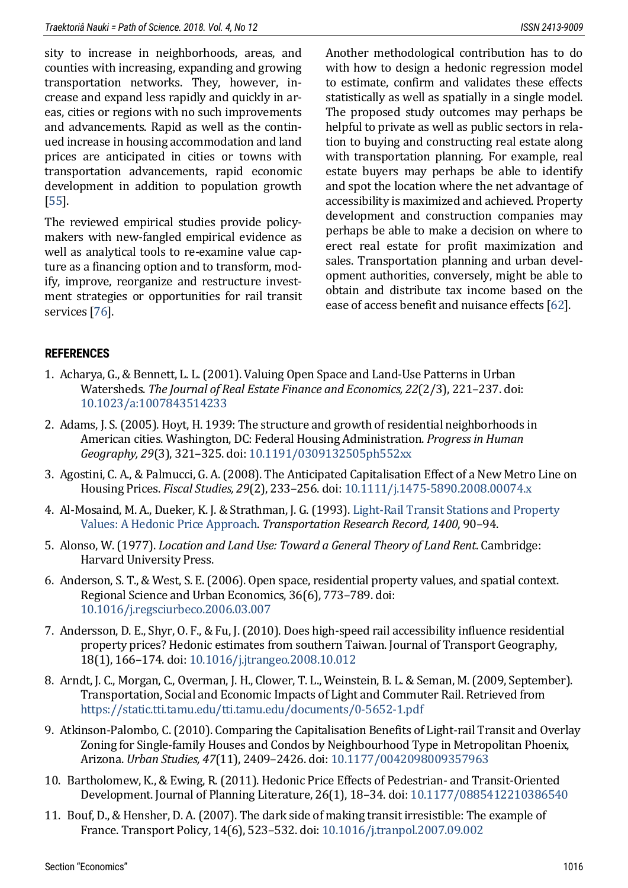sity to increase in neighborhoods, areas, and counties with increasing, expanding and growing transportation networks. They, however, increase and expand less rapidly and quickly in areas, cities or regions with no such improvements and advancements. Rapid as well as the continued increase in housing accommodation and land prices are anticipated in cities or towns with transportation advancements, rapid economic development in addition to population growth [\[55\]](#page-18-0).

The reviewed empirical studies provide policymakers with new-fangled empirical evidence as well as analytical tools to re-examine value capture as a financing option and to transform, modify, improve, reorganize and restructure investment strategies or opportunities for rail transit services [\[76\]](#page-19-11).

Another methodological contribution has to do with how to design a hedonic regression model to estimate, confirm and validates these effects statistically as well as spatially in a single model. The proposed study outcomes may perhaps be helpful to private as well as public sectors in relation to buying and constructing real estate along with transportation planning. For example, real estate buyers may perhaps be able to identify and spot the location where the net advantage of accessibility is maximized and achieved. Property development and construction companies may perhaps be able to make a decision on where to erect real estate for profit maximization and sales. Transportation planning and urban development authorities, conversely, might be able to obtain and distribute tax income based on the ease of access benefit and nuisance effects [\[62\]](#page-18-13).

## **REFERENCES**

- <span id="page-15-5"></span>1. Acharya, G., & Bennett, L. L. (2001). Valuing Open Space and Land-Use Patterns in Urban Watersheds. *The Journal of Real Estate Finance and Economics, 22*(2/3), 221–237. doi: [10.1023/a:1007843514233](https://doi.org/10.1023/a:1007843514233)
- <span id="page-15-0"></span>2. Adams, J. S. (2005). Hoyt, H. 1939: The structure and growth of residential neighborhoods in American cities. Washington, DC: Federal Housing Administration. *Progress in Human Geography, 29*(3), 321–325. doi: [10.1191/0309132505ph552xx](https://doi.org/10.1191/0309132505ph552xx)
- 3. Agostini, C. A., & Palmucci, G. A. (2008). The Anticipated Capitalisation Effect of a New Metro Line on Housing Prices. *Fiscal Studies, 29*(2), 233–256. doi[: 10.1111/j.1475-5890.2008.00074.x](https://doi.org/10.1111/j.1475-5890.2008.00074.x)
- <span id="page-15-8"></span>4. Al-Mosaind, M. A., Dueker, K. J. & Strathman, J. G. (1993)[. Light-Rail Transit Stations and Property](http://onlinepubs.trb.org/Onlinepubs/trr/1993/1400/1400-013.pdf)  [Values: A Hedonic Price Approach.](http://onlinepubs.trb.org/Onlinepubs/trr/1993/1400/1400-013.pdf) *Transportation Research Record, 1400*, 90–94.
- <span id="page-15-2"></span>5. Alonso, W. (1977). *Location and Land Use: Toward a General Theory of Land Rent*. Cambridge: Harvard University Press.
- <span id="page-15-6"></span>6. Anderson, S. T., & West, S. E. (2006). Open space, residential property values, and spatial context. Regional Science and Urban Economics, 36(6), 773–789. doi: [10.1016/j.regsciurbeco.2006.03.007](https://doi.org/10.1016/j.regsciurbeco.2006.03.007)
- <span id="page-15-4"></span>7. Andersson, D. E., Shyr, O. F., & Fu, J. (2010). Does high-speed rail accessibility influence residential property prices? Hedonic estimates from southern Taiwan. Journal of Transport Geography, 18(1), 166–174. doi: [10.1016/j.jtrangeo.2008.10.012](https://doi.org/10.1016/j.jtrangeo.2008.10.012)
- <span id="page-15-1"></span>8. Arndt, J. C., Morgan, C., Overman, J. H., Clower, T. L., Weinstein, B. L. & Seman, M. (2009, September). Transportation, Social and Economic Impacts of Light and Commuter Rail. Retrieved from <https://static.tti.tamu.edu/tti.tamu.edu/documents/0-5652-1.pdf>
- <span id="page-15-7"></span>9. Atkinson-Palombo, C. (2010). Comparing the Capitalisation Benefits of Light-rail Transit and Overlay Zoning for Single-family Houses and Condos by Neighbourhood Type in Metropolitan Phoenix, Arizona. *Urban Studies, 47*(11), 2409–2426. doi: [10.1177/0042098009357963](https://doi.org/10.1177/0042098009357963)
- <span id="page-15-3"></span>10. Bartholomew, K., & Ewing, R. (2011). Hedonic Price Effects of Pedestrian- and Transit-Oriented Development. Journal of Planning Literature, 26(1), 18–34. doi[: 10.1177/0885412210386540](https://doi.org/10.1177/0885412210386540)
- 11. Bouf, D., & Hensher, D. A. (2007). The dark side of making transit irresistible: The example of France. Transport Policy, 14(6), 523–532. doi[: 10.1016/j.tranpol.2007.09.002](https://doi.org/10.1016/j.tranpol.2007.09.002)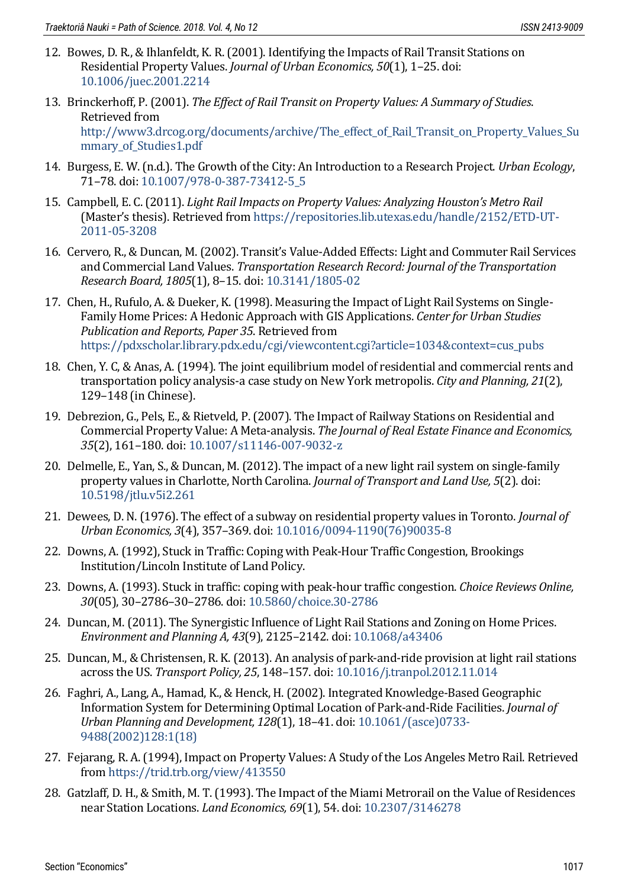- <span id="page-16-5"></span>12. Bowes, D. R., & Ihlanfeldt, K. R. (2001). Identifying the Impacts of Rail Transit Stations on Residential Property Values. *Journal of Urban Economics, 50*(1), 1–25. doi: [10.1006/juec.2001.2214](https://doi.org/10.1006/juec.2001.2214)
- 13. Brinckerhoff, P. (2001). *The Effect of Rail Transit on Property Values: A Summary of Studies*. Retrieved from [http://www3.drcog.org/documents/archive/The\\_effect\\_of\\_Rail\\_Transit\\_on\\_Property\\_Values\\_Su](http://www3.drcog.org/documents/archive/The_effect_of_Rail_Transit_on_Property_Values_Summary_of_Studies1.pdf) mmary of Studies1.pdf
- <span id="page-16-2"></span>14. Burgess, E. W. (n.d.). The Growth of the City: An Introduction to a Research Project. *Urban Ecology*, 71–78. doi: [10.1007/978-0-387-73412-5\\_5](https://doi.org/10.1007/978-0-387-73412-5_5)
- <span id="page-16-1"></span>15. Campbell, E. C. (2011). *Light Rail Impacts on Property Values: Analyzing Houston's Metro Rail* (Master's thesis). Retrieved from [https://repositories.lib.utexas.edu/handle/2152/ETD-UT-](https://repositories.lib.utexas.edu/handle/2152/ETD-UT-2011-05-3208)[2011-05-3208](https://repositories.lib.utexas.edu/handle/2152/ETD-UT-2011-05-3208)
- 16. Cervero, R., & Duncan, M. (2002). Transit's Value-Added Effects: Light and Commuter Rail Services and Commercial Land Values. *Transportation Research Record: Journal of the Transportation Research Board, 1805*(1), 8–15. doi[: 10.3141/1805-02](https://doi.org/10.3141/1805-02)
- <span id="page-16-9"></span>17. Chen, H., Rufulo, A. & Dueker, K. (1998). Measuring the Impact of Light Rail Systems on Single-Family Home Prices: A Hedonic Approach with GIS Applications. *Center for Urban Studies Publication and Reports, Paper 35*. Retrieved from [https://pdxscholar.library.pdx.edu/cgi/viewcontent.cgi?article=1034&context=cus\\_pubs](https://pdxscholar.library.pdx.edu/cgi/viewcontent.cgi?article=1034&context=cus_pubs)
- <span id="page-16-6"></span>18. Chen, Y. C, & Anas, A. (1994). The joint equilibrium model of residential and commercial rents and transportation policy analysis-a case study on New York metropolis. *City and Planning, 21*(2), 129–148 (in Chinese).
- <span id="page-16-3"></span>19. Debrezion, G., Pels, E., & Rietveld, P. (2007). The Impact of Railway Stations on Residential and Commercial Property Value: A Meta-analysis. *The Journal of Real Estate Finance and Economics, 35*(2), 161–180. doi: [10.1007/s11146-007-9032-z](https://doi.org/10.1007/s11146-007-9032-z)
- 20. Delmelle, E., Yan, S., & Duncan, M. (2012). The impact of a new light rail system on single-family property values in Charlotte, North Carolina. *Journal of Transport and Land Use, 5*(2). doi: [10.5198/jtlu.v5i2.261](https://doi.org/10.5198/jtlu.v5i2.261)
- <span id="page-16-8"></span>21. Dewees, D. N. (1976). The effect of a subway on residential property values in Toronto. *Journal of Urban Economics, 3*(4), 357–369. doi: [10.1016/0094-1190\(76\)90035-8](https://doi.org/10.1016/0094-1190(76)90035-8)
- <span id="page-16-7"></span>22. Downs, A. (1992), Stuck in Traffic: Coping with Peak-Hour Traffic Congestion, Brookings Institution/Lincoln Institute of Land Policy.
- 23. Downs, A. (1993). Stuck in traffic: coping with peak-hour traffic congestion. *Choice Reviews Online, 30*(05), 30–2786–30–2786. doi: [10.5860/choice.30-2786](https://doi.org/10.5860/choice.30-2786)
- <span id="page-16-4"></span>24. Duncan, M. (2011). The Synergistic Influence of Light Rail Stations and Zoning on Home Prices. *Environment and Planning A, 43*(9), 2125–2142. doi[: 10.1068/a43406](https://doi.org/10.1068/a43406)
- 25. Duncan, M., & Christensen, R. K. (2013). An analysis of park-and-ride provision at light rail stations across the US. *Transport Policy, 25*, 148–157. doi: [10.1016/j.tranpol.2012.11.014](https://doi.org/10.1016/j.tranpol.2012.11.014)
- 26. Faghri, A., Lang, A., Hamad, K., & Henck, H. (2002). Integrated Knowledge-Based Geographic Information System for Determining Optimal Location of Park-and-Ride Facilities. *Journal of Urban Planning and Development, 128*(1), 18–41. doi: [10.1061/\(asce\)0733-](https://doi.org/10.1061/(asce)0733-9488(2002)128:1(18)) [9488\(2002\)128:1\(18\)](https://doi.org/10.1061/(asce)0733-9488(2002)128:1(18))
- <span id="page-16-10"></span>27. Fejarang, R. A. (1994), Impact on Property Values: A Study of the Los Angeles Metro Rail. Retrieved from<https://trid.trb.org/view/413550>
- <span id="page-16-0"></span>28. Gatzlaff, D. H., & Smith, M. T. (1993). The Impact of the Miami Metrorail on the Value of Residences near Station Locations. *Land Economics, 69*(1), 54. doi[: 10.2307/3146278](https://doi.org/10.2307/3146278)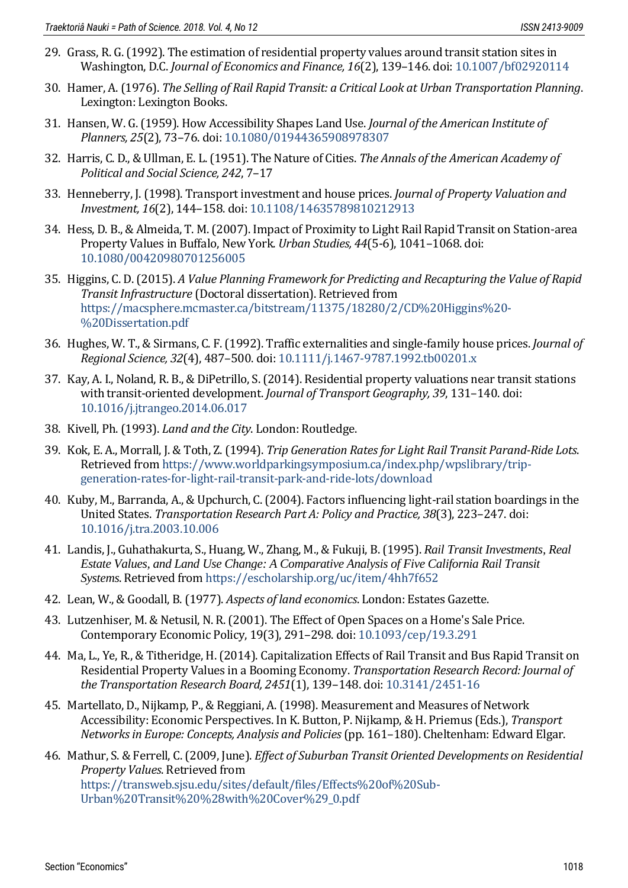- <span id="page-17-2"></span>29. Grass, R. G. (1992). The estimation of residential property values around transit station sites in Washington, D.C. *Journal of Economics and Finance, 16*(2), 139–146. doi: [10.1007/bf02920114](https://doi.org/10.1007/bf02920114)
- <span id="page-17-11"></span>30. Hamer, A. (1976). *The Selling of Rail Rapid Transit: a Critical Look at Urban Transportation Planning*. Lexington: Lexington Books.
- <span id="page-17-3"></span>31. Hansen, W. G. (1959). How Accessibility Shapes Land Use. *Journal of the American Institute of Planners, 25*(2), 73–76. doi: [10.1080/01944365908978307](https://doi.org/10.1080/01944365908978307)
- <span id="page-17-0"></span>32. Harris, C. D., & Ullman, E. L. (1951). The Nature of Cities. *The Annals of the American Academy of Political and Social Science, 242*, 7–17
- <span id="page-17-12"></span>33. Henneberry, J. (1998). Transport investment and house prices. *Journal of Property Valuation and Investment, 16*(2), 144–158. doi[: 10.1108/14635789810212913](https://doi.org/10.1108/14635789810212913)
- <span id="page-17-7"></span>34. Hess, D. B., & Almeida, T. M. (2007). Impact of Proximity to Light Rail Rapid Transit on Station-area Property Values in Buffalo, New York. *Urban Studies, 44*(5-6), 1041–1068. doi: [10.1080/00420980701256005](https://doi.org/10.1080/00420980701256005)
- <span id="page-17-10"></span>35. Higgins, C. D. (2015). *A Value Planning Framework for Predicting and Recapturing the Value of Rapid Transit Infrastructure* (Doctoral dissertation). Retrieved from [https://macsphere.mcmaster.ca/bitstream/11375/18280/2/CD%20Higgins%20-](https://macsphere.mcmaster.ca/bitstream/11375/18280/2/CD%20Higgins%20-%20Dissertation.pdf) [%20Dissertation.pdf](https://macsphere.mcmaster.ca/bitstream/11375/18280/2/CD%20Higgins%20-%20Dissertation.pdf)
- <span id="page-17-9"></span>36. Hughes, W. T., & Sirmans, C. F. (1992). Traffic externalities and single-family house prices. *Journal of Regional Science, 32*(4), 487–500. doi: [10.1111/j.1467-9787.1992.tb00201.x](https://doi.org/10.1111/j.1467-9787.1992.tb00201.x)
- <span id="page-17-6"></span>37. Kay, A. I., Noland, R. B., & DiPetrillo, S. (2014). Residential property valuations near transit stations with transit-oriented development. *Journal of Transport Geography, 39*, 131–140. doi: [10.1016/j.jtrangeo.2014.06.017](https://doi.org/10.1016/j.jtrangeo.2014.06.017)
- 38. Kivell, Ph. (1993). *Land and the City*. London: Routledge.
- 39. Kok, E. A., Morrall, J. & Toth, Z. (1994). *Trip Generation Rates for Light Rail Transit Parand-Ride Lots*. Retrieved from [https://www.worldparkingsymposium.ca/index.php/wpslibrary/trip](https://www.worldparkingsymposium.ca/index.php/wpslibrary/trip-generation-rates-for-light-rail-transit-park-and-ride-lots/download)[generation-rates-for-light-rail-transit-park-and-ride-lots/download](https://www.worldparkingsymposium.ca/index.php/wpslibrary/trip-generation-rates-for-light-rail-transit-park-and-ride-lots/download)
- 40. Kuby, M., Barranda, A., & Upchurch, C. (2004). Factors influencing light-rail station boardings in the United States. *Transportation Research Part A: Policy and Practice, 38*(3), 223–247. doi: [10.1016/j.tra.2003.10.006](https://doi.org/10.1016/j.tra.2003.10.006)
- <span id="page-17-5"></span>41. Landis, J., Guhathakurta, S., Huang, W., Zhang, M., & Fukuji, B. (1995). *Rail Transit Investments, Real Estate Values, and Land Use Change: A Comparative Analysis of Five California Rail Transit Systems*. Retrieved from<https://escholarship.org/uc/item/4hh7f652>
- <span id="page-17-1"></span>42. Lean, W., & Goodall, B. (1977). *Aspects of land economics*. London: Estates Gazette.
- <span id="page-17-8"></span>43. Lutzenhiser, M. & Netusil, N. R. (2001). The Effect of Open Spaces on a Home's Sale Price. Contemporary Economic Policy, 19(3), 291–298. doi: [10.1093/cep/19.3.291](https://doi.org/10.1093/cep/19.3.291)
- 44. Ma, L., Ye, R., & Titheridge, H. (2014). Capitalization Effects of Rail Transit and Bus Rapid Transit on Residential Property Values in a Booming Economy. *Transportation Research Record: Journal of the Transportation Research Board, 2451*(1), 139–148. doi: [10.3141/2451-16](https://doi.org/10.3141/2451-16)
- <span id="page-17-4"></span>45. Martellato, D., Nijkamp, P., & Reggiani, A. (1998). Measurement and Measures of Network Accessibility: Economic Perspectives. In K. Button, P. Nijkamp, & H. Priemus (Eds.), *Transport Networks in Europe: Concepts, Analysis and Policies*(pp. 161–180). Cheltenham: Edward Elgar.
- 46. Mathur, S. & Ferrell, C. (2009, June). *Effect of Suburban Transit Oriented Developments on Residential Property Values*. Retrieved from [https://transweb.sjsu.edu/sites/default/files/Effects%20of%20Sub-](https://transweb.sjsu.edu/sites/default/files/Effects%20of%20Sub-Urban%20Transit%20%28with%20Cover%29_0.pdf)[Urban%20Transit%20%28with%20Cover%29\\_0.pdf](https://transweb.sjsu.edu/sites/default/files/Effects%20of%20Sub-Urban%20Transit%20%28with%20Cover%29_0.pdf)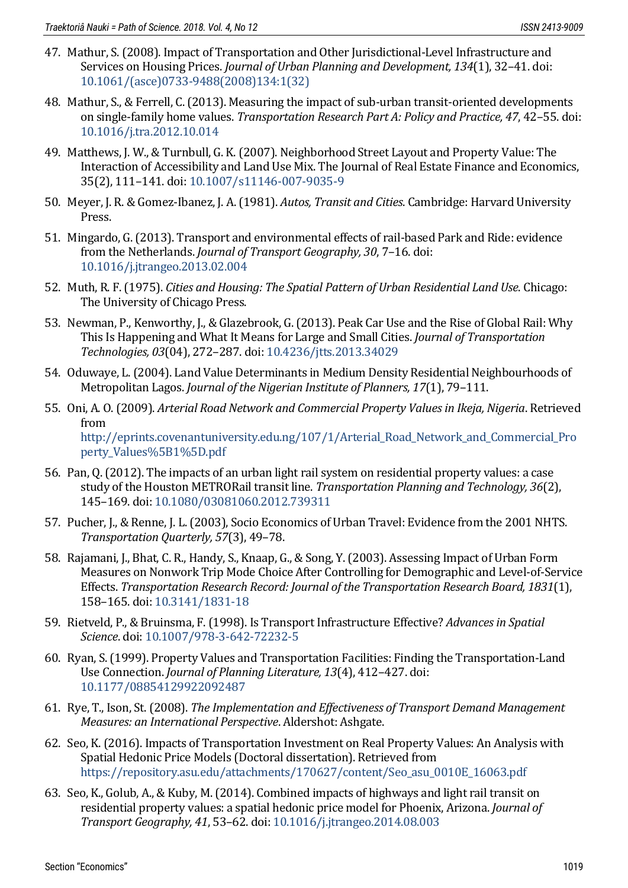- <span id="page-18-7"></span>47. Mathur, S. (2008). Impact of Transportation and Other Jurisdictional-Level Infrastructure and Services on Housing Prices. *Journal of Urban Planning and Development, 134*(1), 32–41. doi: [10.1061/\(asce\)0733-9488\(2008\)134:1\(32\)](https://doi.org/10.1061/(asce)0733-9488(2008)134:1(32))
- <span id="page-18-4"></span>48. Mathur, S., & Ferrell, C. (2013). Measuring the impact of sub-urban transit-oriented developments on single-family home values. *Transportation Research Part A: Policy and Practice, 47*, 42–55. doi: [10.1016/j.tra.2012.10.014](https://doi.org/10.1016/j.tra.2012.10.014)
- <span id="page-18-9"></span>49. Matthews, J. W., & Turnbull, G. K. (2007). Neighborhood Street Layout and Property Value: The Interaction of Accessibility and Land Use Mix. The Journal of Real Estate Finance and Economics, 35(2), 111–141. doi[: 10.1007/s11146-007-9035-9](https://doi.org/10.1007/s11146-007-9035-9)
- <span id="page-18-12"></span>50. Meyer, J. R. & Gomez-Ibanez, J. A. (1981). *Autos, Transit and Cities*. Cambridge: Harvard University **Press**
- 51. Mingardo, G. (2013). Transport and environmental effects of rail-based Park and Ride: evidence from the Netherlands. *Journal of Transport Geography, 30*, 7–16. doi: [10.1016/j.jtrangeo.2013.02.004](https://doi.org/10.1016/j.jtrangeo.2013.02.004)
- <span id="page-18-2"></span>52. Muth, R. F. (1975). *Cities and Housing: The Spatial Pattern of Urban Residential Land Use*. Chicago: The University of Chicago Press.
- 53. Newman, P., Kenworthy, J., & Glazebrook, G. (2013). Peak Car Use and the Rise of Global Rail: Why This Is Happening and What It Means for Large and Small Cities. *Journal of Transportation Technologies, 03*(04), 272–287. doi: [10.4236/jtts.2013.34029](https://doi.org/10.4236/jtts.2013.34029)
- <span id="page-18-10"></span>54. Oduwaye, L. (2004). Land Value Determinants in Medium Density Residential Neighbourhoods of Metropolitan Lagos. *Journal of the Nigerian Institute of Planners, 17*(1), 79–111.
- <span id="page-18-0"></span>55. Oni, A. O. (2009). *Arterial Road Network and Commercial Property Values in Ikeja, Nigeria*. Retrieved from [http://eprints.covenantuniversity.edu.ng/107/1/Arterial\\_Road\\_Network\\_and\\_Commercial\\_Pro](http://eprints.covenantuniversity.edu.ng/107/1/Arterial_Road_Network_and_Commercial_Property_Values%5B1%5D.pdf) [perty\\_Values%5B1%5D.pdf](http://eprints.covenantuniversity.edu.ng/107/1/Arterial_Road_Network_and_Commercial_Property_Values%5B1%5D.pdf)
- <span id="page-18-11"></span>56. Pan, Q. (2012). The impacts of an urban light rail system on residential property values: a case study of the Houston METRORail transit line. *Transportation Planning and Technology, 36*(2), 145–169. doi: [10.1080/03081060.2012.739311](https://doi.org/10.1080/03081060.2012.739311)
- <span id="page-18-5"></span>57. Pucher, J., & Renne, J. L. (2003), Socio Economics of Urban Travel: Evidence from the 2001 NHTS. *Transportation Quarterly, 57*(3), 49–78.
- <span id="page-18-8"></span>58. Rajamani, J., Bhat, C. R., Handy, S., Knaap, G., & Song, Y. (2003). Assessing Impact of Urban Form Measures on Nonwork Trip Mode Choice After Controlling for Demographic and Level-of-Service Effects. *Transportation Research Record: Journal of the Transportation Research Board, 1831*(1), 158–165. doi: [10.3141/1831-18](https://doi.org/10.3141/1831-18)
- <span id="page-18-3"></span>59. Rietveld, P., & Bruinsma, F. (1998). Is Transport Infrastructure Effective? *Advances in Spatial Science*. doi: [10.1007/978-3-642-72232-5](https://doi.org/10.1007/978-3-642-72232-5)
- <span id="page-18-1"></span>60. Ryan, S. (1999). Property Values and Transportation Facilities: Finding the Transportation-Land Use Connection. *Journal of Planning Literature, 13*(4), 412–427. doi: [10.1177/08854129922092487](https://doi.org/10.1177/08854129922092487)
- 61. Rye, T., Ison, St. (2008). *The Implementation and Effectiveness of Transport Demand Management Measures: an International Perspective*. Aldershot: Ashgate.
- <span id="page-18-13"></span>62. Seo, K. (2016). Impacts of Transportation Investment on Real Property Values: An Analysis with Spatial Hedonic Price Models (Doctoral dissertation). Retrieved from [https://repository.asu.edu/attachments/170627/content/Seo\\_asu\\_0010E\\_16063.pdf](https://repository.asu.edu/attachments/170627/content/Seo_asu_0010E_16063.pdf)
- <span id="page-18-6"></span>63. Seo, K., Golub, A., & Kuby, M. (2014). Combined impacts of highways and light rail transit on residential property values: a spatial hedonic price model for Phoenix, Arizona. *Journal of Transport Geography, 41*, 53–62. doi[: 10.1016/j.jtrangeo.2014.08.003](https://doi.org/10.1016/j.jtrangeo.2014.08.003)